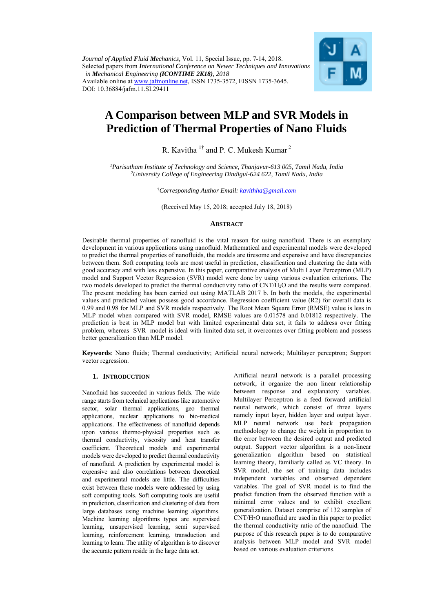*Journal of Applied Fluid Mechanics,* Vol. 11, Special Issue, pp. 7-14, 2018. Selected papers from *International Conference on Newer Techniques and Innovations in Mechanical Engineering (ICONTIME 2K18), 2018*  Available online at www.jafmonline.net, ISSN 1735-3572, EISSN 1735-3645. DOI: 10.36884/jafm.11.SI.29411



# **A Comparison between MLP and SVR Models in Prediction of Thermal Properties of Nano Fluids**

R. Kavitha <sup>1†</sup> and P. C. Mukesh Kumar<sup>2</sup>

*1Parisutham Institute of Technology and Science, Thanjavur-613 005, Tamil Nadu, India 2 University College of Engineering Dindigul-624 622, Tamil Nadu, India* 

†*Corresponding Author Email: kavithha@gmail.com*

(Received May 15, 2018; accepted July 18, 2018)

#### **ABSTRACT**

Desirable thermal properties of nanofluid is the vital reason for using nanofluid. There is an exemplary development in various applications using nanofluid. Mathematical and experimental models were developed to predict the thermal properties of nanofluids, the models are tiresome and expensive and have discrepancies between them. Soft computing tools are most useful in prediction, classification and clustering the data with good accuracy and with less expensive. In this paper, comparative analysis of Multi Layer Perceptron (MLP) model and Support Vector Regression (SVR) model were done by using various evaluation criterions. The two models developed to predict the thermal conductivity ratio of CNT/H2O and the results were compared. The present modeling has been carried out using MATLAB 2017 b. In both the models, the experimental values and predicted values possess good accordance. Regression coefficient value (R2) for overall data is 0.99 and 0.98 for MLP and SVR models respectively. The Root Mean Square Error (RMSE) value is less in MLP model when compared with SVR model, RMSE values are 0.01578 and 0.01812 respectively. The prediction is best in MLP model but with limited experimental data set, it fails to address over fitting problem, whereas SVR model is ideal with limited data set, it overcomes over fitting problem and possess better generalization than MLP model.

**Keywords**: Nano fluids; Thermal conductivity; Artificial neural network; Multilayer perceptron; Support vector regression.

### **1. INTRODUCTION**

Nanofluid has succeeded in various fields. The wide range starts from technical applications like automotive sector, solar thermal applications, geo thermal applications, nuclear applications to bio-medical applications. The effectiveness of nanofluid depends upon various thermo-physical properties such as thermal conductivity, viscosity and heat transfer coefficient. Theoretical models and experimental models were developed to predict thermal conductivity of nanofluid. A prediction by experimental model is expensive and also correlations between theoretical and experimental models are little. The difficulties exist between these models were addressed by using soft computing tools. Soft computing tools are useful in prediction, classification and clustering of data from large databases using machine learning algorithms. Machine learning algorithms types are supervised learning, unsupervised learning, semi supervised learning, reinforcement learning, transduction and learning to learn. The utility of algorithm is to discover the accurate pattern reside in the large data set.

Artificial neural network is a parallel processing network, it organize the non linear relationship between response and explanatory variables. Multilayer Perceptron is a feed forward artificial neural network, which consist of three layers namely input layer, hidden layer and output layer. MLP neural network use back propagation methodology to change the weight in proportion to the error between the desired output and predicted output. Support vector algorithm is a non-linear generalization algorithm based on statistical learning theory, familiarly called as VC theory. In SVR model, the set of training data includes independent variables and observed dependent variables. The goal of SVR model is to find the predict function from the observed function with a minimal error values and to exhibit excellent generalization. Dataset comprise of 132 samples of CNT/H2O nanofluid are used in this paper to predict the thermal conductivity ratio of the nanofluid. The purpose of this research paper is to do comparative analysis between MLP model and SVR model based on various evaluation criterions.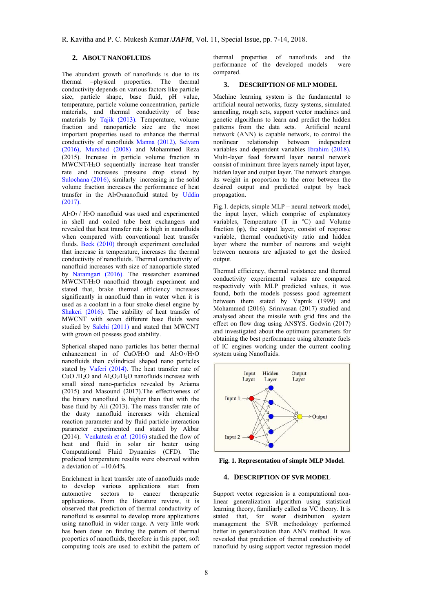## **2. ABOUT NANOFLUIDS**

The abundant growth of nanofluids is due to its thermal –physical properties. The thermal conductivity depends on various factors like particle size, particle shape, base fluid, pH value, temperature, particle volume concentration, particle materials, and thermal conductivity of base materials by Tajik (2013). Temperature, volume fraction and nanoparticle size are the most important properties used to enhance the thermal conductivity of nanofluids Manna (2012), Selvam (2016), Murshed (2008) and Mohammed Reza (2015). Increase in particle volume fraction in MWCNT/H2O sequentially increase heat transfer rate and increases pressure drop stated by Sulochana (2016), similarly increasing in the solid volume fraction increases the performance of heat transfer in the Al2O3nanofluid stated by Uddin (2017).

 $Al_2O_3$  /  $H_2O$  nanofluid was used and experimented in shell and coiled tube heat exchangers and revealed that heat transfer rate is high in nanofluids when compared with conventional heat transfer fluids. Beck (2010) through experiment concluded that increase in temperature, increases the thermal conductivity of nanofluids. Thermal conductivity of nanofluid increases with size of nanoparticle stated by Naramgari (2016). The researcher examined MWCNT/H2O nanofluid through experiment and stated that, brake thermal efficiency increases significantly in nanofluid than in water when it is used as a coolant in a four stroke diesel engine by Shakeri (2016). The stability of heat transfer of MWCNT with seven different base fluids were studied by Salehi (2011) and stated that MWCNT with grown oil possess good stability.

Spherical shaped nano particles has better thermal enhancement in of  $\text{CuO/H}_2\text{O}$  and  $\text{Al}_2\text{O}_3/\text{H}_2\text{O}$ nanofluids than cylindrical shaped nano particles stated by Vaferi (2014). The heat transfer rate of CuO /H2O and Al2O3/H2O nanofluids increase with small sized nano-particles revealed by Ariama (2015) and Masound (2017).The effectiveness of the binary nanofluid is higher than that with the base fluid by Ali (2013). The mass transfer rate of the dusty nanofluid increases with chemical reaction parameter and by fluid particle interaction parameter experimented and stated by Akbar (2014). Venkatesh *et al*. (2016) studied the flow of heat and fluid in solar air heater using Computational Fluid Dynamics (CFD). The predicted temperature results were observed within a deviation of  $\pm 10.64\%$ .

Enrichment in heat transfer rate of nanofluids made to develop various applications start from automotive sectors to cancer therapeutic applications. From the literature review, it is observed that prediction of thermal conductivity of nanofluid is essential to develop more applications using nanofluid in wider range. A very little work has been done on finding the pattern of thermal properties of nanofluids, therefore in this paper, soft computing tools are used to exhibit the pattern of

thermal properties of nanofluids and the performance of the developed models were compared.

#### **3. DESCRIPTION OF MLP MODEL**

Machine learning system is the fundamental to artificial neural networks, fuzzy systems, simulated annealing, rough sets, support vector machines and genetic algorithms to learn and predict the hidden<br>patterns from the data sets. Artificial neural patterns from the data sets. network (ANN) is capable network, to control the nonlinear relationship between independent variables and dependent variables Ibrahim (2018). Multi-layer feed forward layer neural network consist of minimum three layers namely input layer, hidden layer and output layer. The network changes its weight in proportion to the error between the desired output and predicted output by back propagation.

Fig.1. depicts, simple MLP – neural network model, the input layer, which comprise of explanatory variables, Temperature  $(T \text{ in } {}^{\circ}C)$  and Volume fraction (φ), the output layer, consist of response variable, thermal conductivity ratio and hidden layer where the number of neurons and weight between neurons are adjusted to get the desired output.

Thermal efficiency, thermal resistance and thermal conductivity experimental values are compared respectively with MLP predicted values, it was found, both the models possess good agreement between them stated by Vapnik (1999) and Mohammed (2016). Srinivasan (2017) studied and analysed about the missile with grid fins and the effect on flow drag using ANSYS. Godwin (2017) and investigated about the optimum parameters for obtaining the best performance using alternate fuels of IC engines working under the current cooling system using Nanofluids.



**Fig. 1. Representation of simple MLP Model.**

#### **4. DESCRIPTION OF SVR MODEL**

Support vector regression is a computational nonlinear generalization algorithm using statistical learning theory, familiarly called as VC theory. It is stated that, for water distribution system management the SVR methodology performed better in generalization than ANN method. It was revealed that prediction of thermal conductivity of nanofluid by using support vector regression model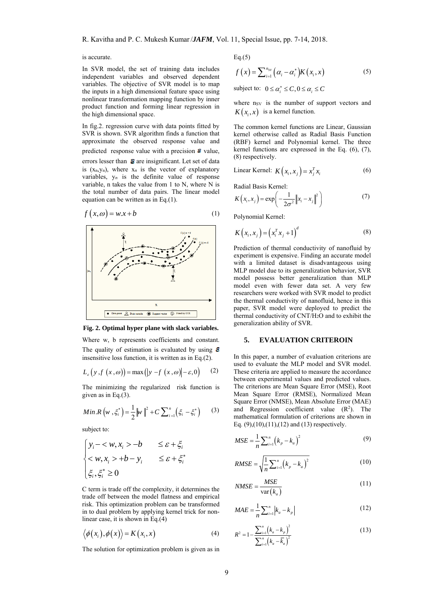is accurate.

In SVR model, the set of training data includes independent variables and observed dependent variables. The objective of SVR model is to map the inputs in a high dimensional feature space using nonlinear transformation mapping function by inner product function and forming linear regression in the high dimensional space.

In fig.2. regression curve with data points fitted by SVR is shown. SVR algorithm finds a function that approximate the observed response value and predicted response value with a precision  $\epsilon$  value, errors lesser than  $\epsilon$  are insignificant. Let set of data is  $(x_n, y_n)$ , where  $x_n$  is the vector of explanatory variables,  $y_n$  is the definite value of response variable, n takes the value from 1 to N, where N is the total number of data pairs. The linear model equation can be written as in Eq.(1).

$$
f(x, \omega) = w \cdot x + b \tag{1}
$$



**Fig. 2. Optimal hyper plane with slack variables.**

Where w, b represents coefficients and constant. The quality of estimation is evaluated by using  $\epsilon$ insensitive loss function, it is written as in Eq.(2).

$$
L_{\varepsilon}\big(\,y\,\text{,}f\,\big(\,x\,,\omega\big)\big)=\max\big(\big|y\,-\text{,}f\,\big(\,x\,,\omega\big)\big|-\varepsilon\,,0\big)\qquad(2)
$$

The minimizing the regularized risk function is given as in Eq.(3).

Min.R 
$$
(w, \xi_i^*) = \frac{1}{2} ||w||^2 + C \sum_{i=1}^n (\xi_i - \xi_i^*)
$$
 (3)

subject to:

$$
\begin{cases} y_i - \langle w, x_i \rangle - b & \leq \varepsilon + \xi_i \\ \langle w, x_i \rangle + b - y_i & \leq \varepsilon + \xi_i^* \\ \xi_i, \xi_i^* \geq 0 \end{cases}
$$

C term is trade off the complexity, it determines the trade off between the model flatness and empirical risk. This optimization problem can be transformed in to dual problem by applying kernel trick for nonlinear case, it is shown in Eq.(4)

$$
\langle \phi(x_i), \phi(x) \rangle = K(x_i, x) \tag{4}
$$

The solution for optimization problem is given as in

 $Eq.(5)$ 

$$
f(x) = \sum_{i=1}^{n_{SV}} (\alpha_i - \alpha_i^*) K(x_i, x)
$$
 (5)

subject to:  $0 \le \alpha_i^* \le C$ ,  $0 \le \alpha_i \le C$ 

where nsv is the number of support vectors and  $K(x_i, x)$  is a kernel function.

The common kernel functions are Linear, Gaussian kernel otherwise called as Radial Basis Function (RBF) kernel and Polynomial kernel. The three kernel functions are expressed in the Eq. (6), (7), (8) respectively.

Linear Kernel: 
$$
K(x_i, x_j) = x_j^T x_i
$$
 (6)

Radial Basis Kernel:

$$
K(x_i, x_j) = \exp\left(-\frac{1}{2\sigma^2} \|x_i - x_j\|^2\right)
$$
 (7)

Polynomial Kernel:

$$
K(x_i, x_j) = (x_i^T x_j + 1)^d
$$
 (8)

Prediction of thermal conductivity of nanofluid by experiment is expensive. Finding an accurate model with a limited dataset is disadvantageous using MLP model due to its generalization behavior, SVR model possess better generalization than MLP model even with fewer data set. A very few researchers were worked with SVR model to predict the thermal conductivity of nanofluid, hence in this paper, SVR model were deployed to predict the thermal conductivity of CNT/H2O and to exhibit the generalization ability of SVR.

## **5. EVALUATION CRITEROIN**

In this paper, a number of evaluation criterions are used to evaluate the MLP model and SVR model. These criteria are applied to measure the accordance between experimental values and predicted values. The criterions are Mean Square Error (MSE), Root Mean Square Error (RMSE), Normalized Mean Square Error (NMSE), Mean Absolute Error (MAE) and Regression coefficient value  $(R<sup>2</sup>)$ . The mathematical formulation of criterions are shown in Eq.  $(9)$ , $(10)$ , $(11)$ , $(12)$  and  $(13)$  respectively.

$$
MSE = \frac{1}{n} \sum_{i=1}^{n} (k_p - k_a)^2
$$
 (9)

$$
RMSE = \sqrt{\frac{1}{n} \sum_{i=1}^{n} (k_p - k_a)^2}
$$
 (10)

$$
NMSE = \frac{MSE}{\text{var}(k_a)}\tag{11}
$$

$$
MAE = \frac{1}{n} \sum_{i=1}^{n} |k_a - k_p|
$$
 (12)

$$
R^{2} = 1 - \frac{\sum_{i=1}^{n} (k_{a} - k_{p})^{2}}{\sum_{i=1}^{n} (k_{a} - \overline{k}_{a})^{2}}
$$
(13)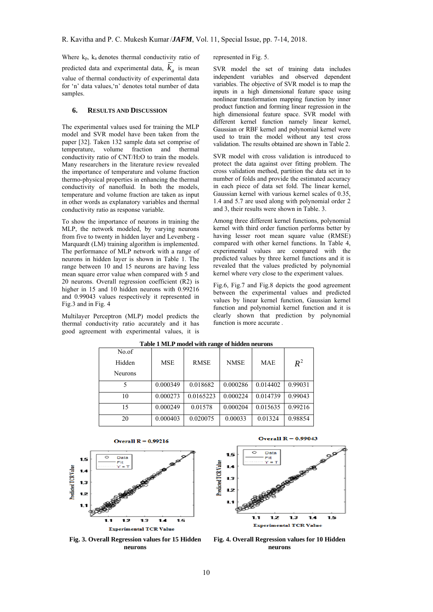Where  $k_p$ ,  $k_a$  denotes thermal conductivity ratio of predicted data and experimental data,  $k_a$  is mean value of thermal conductivity of experimental data for 'n' data values,'n' denotes total number of data samples.

## **6. RESULTS AND DISCUSSION**

The experimental values used for training the MLP model and SVR model have been taken from the paper [32]. Taken 132 sample data set comprise of temperature, volume fraction and thermal conductivity ratio of CNT/H2O to train the models. Many researchers in the literature review revealed the importance of temperature and volume fraction thermo-physical properties in enhancing the thermal conductivity of nanofluid. In both the models, temperature and volume fraction are taken as input in other words as explanatory variables and thermal conductivity ratio as response variable.

To show the importance of neurons in training the MLP, the network modeled, by varying neurons from five to twenty in hidden layer and Levenberg - Marquardt (LM) training algorithm is implemented. The performance of MLP network with a range of neurons in hidden layer is shown in Table 1. The range between 10 and 15 neurons are having less mean square error value when compared with 5 and 20 neurons. Overall regression coefficient (R2) is higher in 15 and 10 hidden neurons with 0.99216 and 0.99043 values respectively it represented in Fig.3 and in Fig. 4

Multilayer Perceptron (MLP) model predicts the thermal conductivity ratio accurately and it has good agreement with experimental values, it is represented in Fig. 5.

SVR model the set of training data includes independent variables and observed dependent variables. The objective of SVR model is to map the inputs in a high dimensional feature space using nonlinear transformation mapping function by inner product function and forming linear regression in the high dimensional feature space. SVR model with different kernel function namely linear kernel, Gaussian or RBF kernel and polynomial kernel were used to train the model without any test cross validation. The results obtained are shown in Table 2.

SVR model with cross validation is introduced to protect the data against over fitting problem. The cross validation method, partition the data set in to number of folds and provide the estimated accuracy in each piece of data set fold. The linear kernel, Gaussian kernel with various kernel scales of 0.35, 1.4 and 5.7 are used along with polynomial order 2 and 3, their results were shown in Table. 3.

Among three different kernel functions, polynomial kernel with third order function performs better by having lesser root mean square value (RMSE) compared with other kernel functions. In Table 4, experimental values are compared with the predicted values by three kernel functions and it is revealed that the values predicted by polynomial kernel where very close to the experiment values.

Fig.6, Fig.7 and Fig.8 depicts the good agreement between the experimental values and predicted values by linear kernel function, Gaussian kernel function and polynomial kernel function and it is clearly shown that prediction by polynomial function is more accurate .

| Table I MLP model with range of model neurons |            |             |             |            |         |  |
|-----------------------------------------------|------------|-------------|-------------|------------|---------|--|
| No.of                                         |            |             |             |            |         |  |
| Hidden                                        | <b>MSE</b> | <b>RMSE</b> | <b>NMSE</b> | <b>MAE</b> | $R^2$   |  |
| <b>Neurons</b>                                |            |             |             |            |         |  |
| 5                                             | 0.000349   | 0.018682    | 0.000286    | 0.014402   | 0.99031 |  |
| 10                                            | 0.000273   | 0.0165223   | 0.000224    | 0.014739   | 0.99043 |  |
| 15                                            | 0.000249   | 0.01578     | 0.000204    | 0.015635   | 0.99216 |  |
| 20                                            | 0.000403   | 0.020075    | 0.00033     | 0.01324    | 0.98854 |  |

**Table 1 MLP model with range of hidden neurons** 



Overall  $R = 0.99216$ 

**Fig. 3. Overall Regression values for 15 Hidden neurons** 





**Fig. 4. Overall Regression values for 10 Hidden neurons**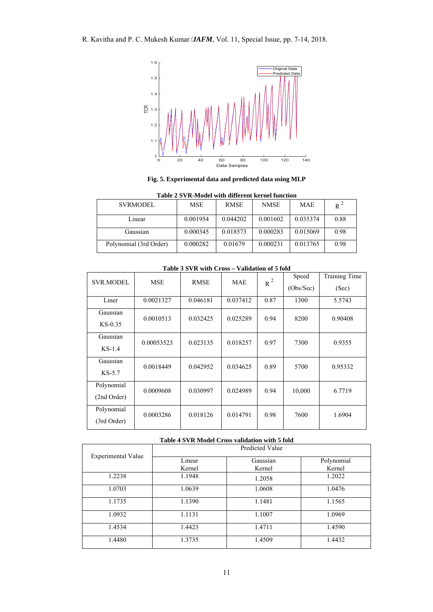R. Kavitha and P. C. Mukesh Kumar/*JAFM*, Vol. 11, Special Issue, pp. 7-14, 2018.



**Fig. 5. Experimental data and predicted data using MLP** 

**Table 2 SVR-Model with different kernel function** 

| <b>SVRMODEL</b>        | MSE      | <b>RMSE</b> | <b>NMSE</b> | <b>MAE</b> | $R^2$ |
|------------------------|----------|-------------|-------------|------------|-------|
| Linear                 | 0.001954 | 0.044202    | 0.001602    | 0.035374   | 0.88  |
| Gaussian               | 0.000345 | 0.018573    | 0.000283    | 0.015069   | 0.98  |
| Polynomial (3rd Order) | 0.000282 | 0.01679     | 0.000231    | 0.013765   | 0.98  |

| <b>SVR.MODEL</b>          | <b>MSE</b> | тари эр гистин Стор<br><b>RMSE</b> | <b>MAE</b> | $R^2$ | Speed     | <b>Training Time</b> |
|---------------------------|------------|------------------------------------|------------|-------|-----------|----------------------|
|                           |            |                                    |            |       | (Obs/Sec) | (Sec)                |
| Liner                     | 0.0021327  | 0.046181                           | 0.037412   | 0.87  | 1300      | 5.5743               |
| Gaussian<br>$KS-0.35$     | 0.0010513  | 0.032425                           | 0.025289   | 0.94  | 8200      | 0.90408              |
| Gaussian<br>$KS-1.4$      | 0.00053523 | 0.023135                           | 0.018257   | 0.97  | 7300      | 0.9355               |
| Gaussian<br>$KS-5.7$      | 0.0018449  | 0.042952                           | 0.034625   | 0.89  | 5700      | 0.95332              |
| Polynomial<br>(2nd Order) | 0.0009608  | 0.030997                           | 0.024989   | 0.94  | 10,000    | 6.7719               |
| Polynomial<br>(3rd Order) | 0.0003286  | 0.018126                           | 0.014791   | 0.98  | 7600      | 1.6904               |

**Table 3 SVR with Cross – Validation of 5 fold**

## **Table 4 SVR Model Cross validation with 5 fold**

|                           | Predicted Value |          |            |  |  |
|---------------------------|-----------------|----------|------------|--|--|
| <b>Experimental Value</b> | Linear          | Gaussian | Polynomial |  |  |
|                           | Kernel          | Kernel   | Kernel     |  |  |
| 1.2238                    | 1.1948          | 1.2058   | 1.2022     |  |  |
| 1.0703                    | 1.0639          | 1.0608   | 1.0476     |  |  |
| 1.1735                    | 1.1390          | 1.1481   | 1.1565     |  |  |
| 1.0932                    | 1.1131          | 1.1007   | 1.0969     |  |  |
| 1.4534                    | 1.4423          | 1.4711   | 1.4590     |  |  |
| 1.4480                    | 1.3735          | 1.4509   | 1.4432     |  |  |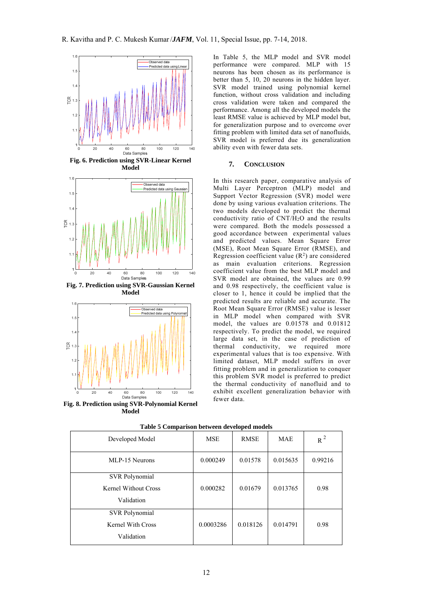

**Fig. 6. Prediction using SVR-Linear Kernel Model** 



**Fig. 7. Prediction using SVR-Gaussian Kernel Model** 



**Fig. 8. Prediction using SVR-Polynomial Kernel Model** 

In Table 5, the MLP model and SVR model performance were compared. MLP with 15 neurons has been chosen as its performance is better than 5, 10, 20 neurons in the hidden layer. SVR model trained using polynomial kernel function, without cross validation and including cross validation were taken and compared the performance. Among all the developed models the least RMSE value is achieved by MLP model but, for generalization purpose and to overcome over fitting problem with limited data set of nanofluids, SVR model is preferred due its generalization ability even with fewer data sets.

#### **7. CONCLUSION**

In this research paper, comparative analysis of Multi Layer Perceptron (MLP) model and Support Vector Regression (SVR) model were done by using various evaluation criterions. The two models developed to predict the thermal conductivity ratio of  $CNT/\hat{H}_2O$  and the results were compared. Both the models possessed a good accordance between experimental values and predicted values. Mean Square Error (MSE), Root Mean Square Error (RMSE), and Regression coefficient value  $(R<sup>2</sup>)$  are considered as main evaluation criterions. Regression coefficient value from the best MLP model and SVR model are obtained, the values are 0.99 and 0.98 respectively, the coefficient value is closer to 1, hence it could be implied that the predicted results are reliable and accurate. The Root Mean Square Error (RMSE) value is lesser in MLP model when compared with SVR model, the values are 0.01578 and 0.01812 respectively. To predict the model, we required large data set, in the case of prediction of thermal conductivity, we required more experimental values that is too expensive. With limited dataset, MLP model suffers in over fitting problem and in generalization to conquer this problem SVR model is preferred to predict the thermal conductivity of nanofluid and to exhibit excellent generalization behavior with fewer data.

| Developed Model       | <b>MSE</b> | <b>RMSE</b> | <b>MAE</b> | $R^2$   |
|-----------------------|------------|-------------|------------|---------|
| MLP-15 Neurons        | 0.000249   | 0.01578     | 0.015635   | 0.99216 |
| <b>SVR Polynomial</b> |            |             |            |         |
| Kernel Without Cross  | 0.000282   | 0.01679     | 0.013765   | 0.98    |
| Validation            |            |             |            |         |
| <b>SVR Polynomial</b> |            |             |            |         |
| Kernel With Cross     | 0.0003286  | 0.018126    | 0.014791   | 0.98    |
| Validation            |            |             |            |         |

**Table 5 Comparison between developed models**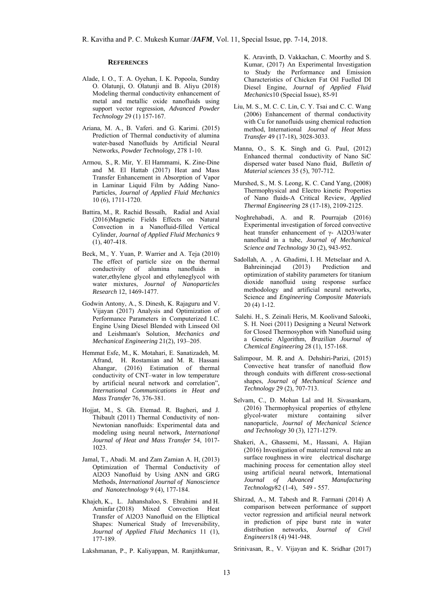### **REFERENCES**

- Alade, I. O., T. A. Oyehan, I. K. Popoola, Sunday O. Olatunji, O. Olatunji and B. Aliyu (2018) Modeling thermal conductivity enhancement of metal and metallic oxide nanofluids using support vector regression, *Advanced Powder Technology* 29 (1) 157-167.
- Ariana, M. A., B. Vaferi. and G. Karimi. (2015) Prediction of Thermal conductivity of alumina water-based Nanofluids by Artificial Neural Networks, *Powder Technology,* 278 1-10.
- Armou, S., R. Mir, Y. El Hammami, K. Zine-Dine and M. El Hattab (2017) Heat and Mass Transfer Enhancement in Absorption of Vapor in Laminar Liquid Film by Adding Nano-Particles, *Journal of Applied Fluid Mechanics* 10 (6), 1711-1720.
- Battira, M., R. Rachid Bessaïh, Radial and Axial (2016)Magnetic Fields Effects on Natural Convection in a Nanofluid-filled Vertical Cylinder, *Journal of Applied Fluid Mechanics* 9 (1), 407-418.
- Beck, M., Y. Yuan, P. Warrier and A. Teja (2010) The effect of particle size on the thermal conductivity of alumina nanofluids in water,ethylene glycol and ethyleneglycol with water mixtures, *Journal of Nanoparticles Research* 12, 1469-1477.
- Godwin Antony, A., S. Dinesh, K. Rajaguru and V. Vijayan (2017) Analysis and Optimization of Performance Parameters in Computerized I.C. Engine Using Diesel Blended with Linseed Oil and Leishmaan's Solution, *Mechanics and Mechanical Engineering* 21(2), 193–205.
- Hemmat Esfe, M., K. Motahari, E. Sanatizadeh, M. Afrand, H. Rostamian and M. R. Hassani Ahangar, (2016) Estimation of thermal conductivity of CNT–water in low temperature by artificial neural network and correlation", *International Communications in Heat and Mass Transfer* 76, 376-381.
- Hojjat, M., S. Gh. Etemad. R. Bagheri, and J. Thibault (2011) Thermal Conductivity of non-Newtonian nanofluids: Experimental data and modeling using neural network*, International Journal of Heat and Mass Transfer* 54, 1017- 1023
- Jamal, T., Abadi. M. and Zam Zamian A. H, (2013) Optimization of Thermal Conductivity of Al2O3 Nanofluid by Using ANN and GRG Methods, *International Journal of Nanoscience and Nanotechnology* 9 (4), 177-184.
- Khajeh, K., L. Jahanshaloo, S. Ebrahimi and H. Aminfar (2018) Mixed Convection Heat Transfer of Al2O3 Nanofluid on the Elliptical Shapes: Numerical Study of Irreversibility, *Journal of Applied Fluid Mechanics* 11 (1), 177-189.

Lakshmanan, P., P. Kaliyappan, M. Ranjithkumar,

K. Aravinth, D. Vakkachan, C. Moorthy and S. Kumar, (2017) An Experimental Investigation to Study the Performance and Emission Characteristics of Chicken Fat Oil Fuelled DI Diesel Engine, *Journal of Applied Fluid Mechanics*10 (Special Issue), 85-91

- Liu, M. S., M. C. C. Lin, C. Y. Tsai and C. C. Wang (2006) Enhancement of thermal conductivity with Cu for nanofluids using chemical reduction method, International *Journal of Heat Mass Transfer* 49 (17-18), 3028-3033.
- Manna, O., S. K. Singh and G. Paul, (2012) Enhanced thermal conductivity of Nano SiC dispersed water based Nano fluid, *Bulletin of Material sciences* 35 (5), 707-712.
- Murshed, S., M. S. Leong, K. C. Cand Yang, (2008) Thermophysical and Electro kinetic Properties of Nano fluids-A Critical Review, *Applied Thermal Engineering* 28 (17-18), 2109-2125.
- Noghrehabadi, A. and R. Pourrajab (2016) Experimental investigation of forced convective heat transfer enhancement of γ- Al2O3/water nanofluid in a tube, *Journal of Mechanical Science and Technology* 30 (2), 943-952.
- Sadollah, A. , A. Ghadimi, I. H. Metselaar and A. Bahreininejad (2013) Prediction and optimization of stability parameters for titanium dioxide nanofluid using response surface methodology and artificial neural networks, Science and *Engineering Composite Materials* 20 (4) 1-12.
- Salehi. H., S. Zeinali Heris, M. Koolivand Salooki, S. H. Noei (2011) Designing a Neural Network for Closed Thermosyphon with Nanofluid using a Genetic Algorithm, *Brazilian Journal of Chemical Engineering* 28 (1), 157-168.
- Salimpour, M. R. and A. Dehshiri-Parizi, (2015) Convective heat transfer of nanofluid flow through conduits with different cross-sectional shapes, *Journal of Mechanical Science and Technology* 29 (2), 707-713.
- Selvam, C., D. Mohan Lal and H. Sivasankarn, (2016) Thermophysical properties of ethylene glycol-water mixture containing silver nanoparticle, *Journal of Mechanical Science and Technology* 30 (3), 1271-1279.
- Shakeri, A., Ghassemi, M., Hassani, A. Hajian (2016) Investigation of material removal rate an surface roughness in wire electrical discharge machining process for cementation alloy steel using artificial neural network, International *Journal of Advanced Manufacturing Technology*82 (1-4), 549 - 557.
- Shirzad, A., M. Tabesh and R. Farmani (2014) A comparison between performance of support vector regression and artificial neural network in prediction of pipe burst rate in water distribution networks, *Journal of Civil Engineers*18 (4) 941-948.

Srinivasan, R., V. Vijayan and K. Sridhar (2017)